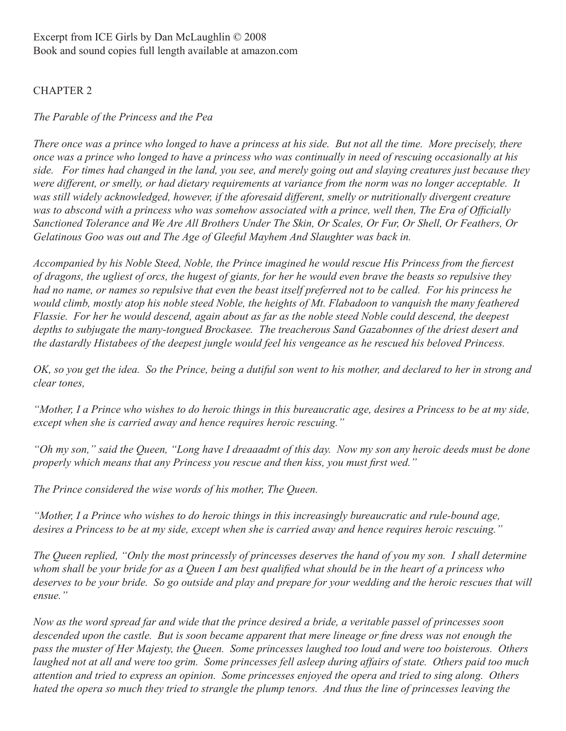## CHAPTER 2

## *The Parable of the Princess and the Pea*

*There once was a prince who longed to have a princess at his side. But not all the time. More precisely, there once was a prince who longed to have a princess who was continually in need of rescuing occasionally at his side. For times had changed in the land, you see, and merely going out and slaying creatures just because they were different, or smelly, or had dietary requirements at variance from the norm was no longer acceptable. It*  was still widely acknowledged, however, if the aforesaid different, smelly or nutritionally divergent creature *was to abscond with a princess who was somehow associated with a prince, well then, The Era of Officially Sanctioned Tolerance and We Are All Brothers Under The Skin, Or Scales, Or Fur, Or Shell, Or Feathers, Or Gelatinous Goo was out and The Age of Gleeful Mayhem And Slaughter was back in.*

*Accompanied by his Noble Steed, Noble, the Prince imagined he would rescue His Princess from the fiercest of dragons, the ugliest of orcs, the hugest of giants, for her he would even brave the beasts so repulsive they had no name, or names so repulsive that even the beast itself preferred not to be called. For his princess he would climb, mostly atop his noble steed Noble, the heights of Mt. Flabadoon to vanquish the many feathered Flassie. For her he would descend, again about as far as the noble steed Noble could descend, the deepest depths to subjugate the many-tongued Brockasee. The treacherous Sand Gazabonnes of the driest desert and the dastardly Histabees of the deepest jungle would feel his vengeance as he rescued his beloved Princess.*

*OK, so you get the idea. So the Prince, being a dutiful son went to his mother, and declared to her in strong and clear tones,* 

*"Mother, I a Prince who wishes to do heroic things in this bureaucratic age, desires a Princess to be at my side, except when she is carried away and hence requires heroic rescuing."*

*"Oh my son," said the Queen, "Long have I dreaaadmt of this day. Now my son any heroic deeds must be done properly which means that any Princess you rescue and then kiss, you must first wed."*

*The Prince considered the wise words of his mother, The Queen.* 

*"Mother, I a Prince who wishes to do heroic things in this increasingly bureaucratic and rule-bound age, desires a Princess to be at my side, except when she is carried away and hence requires heroic rescuing."*

*The Queen replied, "Only the most princessly of princesses deserves the hand of you my son. I shall determine whom shall be your bride for as a Queen I am best qualified what should be in the heart of a princess who deserves to be your bride. So go outside and play and prepare for your wedding and the heroic rescues that will ensue."*

*Now as the word spread far and wide that the prince desired a bride, a veritable passel of princesses soon descended upon the castle. But is soon became apparent that mere lineage or fine dress was not enough the pass the muster of Her Majesty, the Queen. Some princesses laughed too loud and were too boisterous. Others laughed not at all and were too grim. Some princesses fell asleep during affairs of state. Others paid too much attention and tried to express an opinion. Some princesses enjoyed the opera and tried to sing along. Others hated the opera so much they tried to strangle the plump tenors. And thus the line of princesses leaving the*